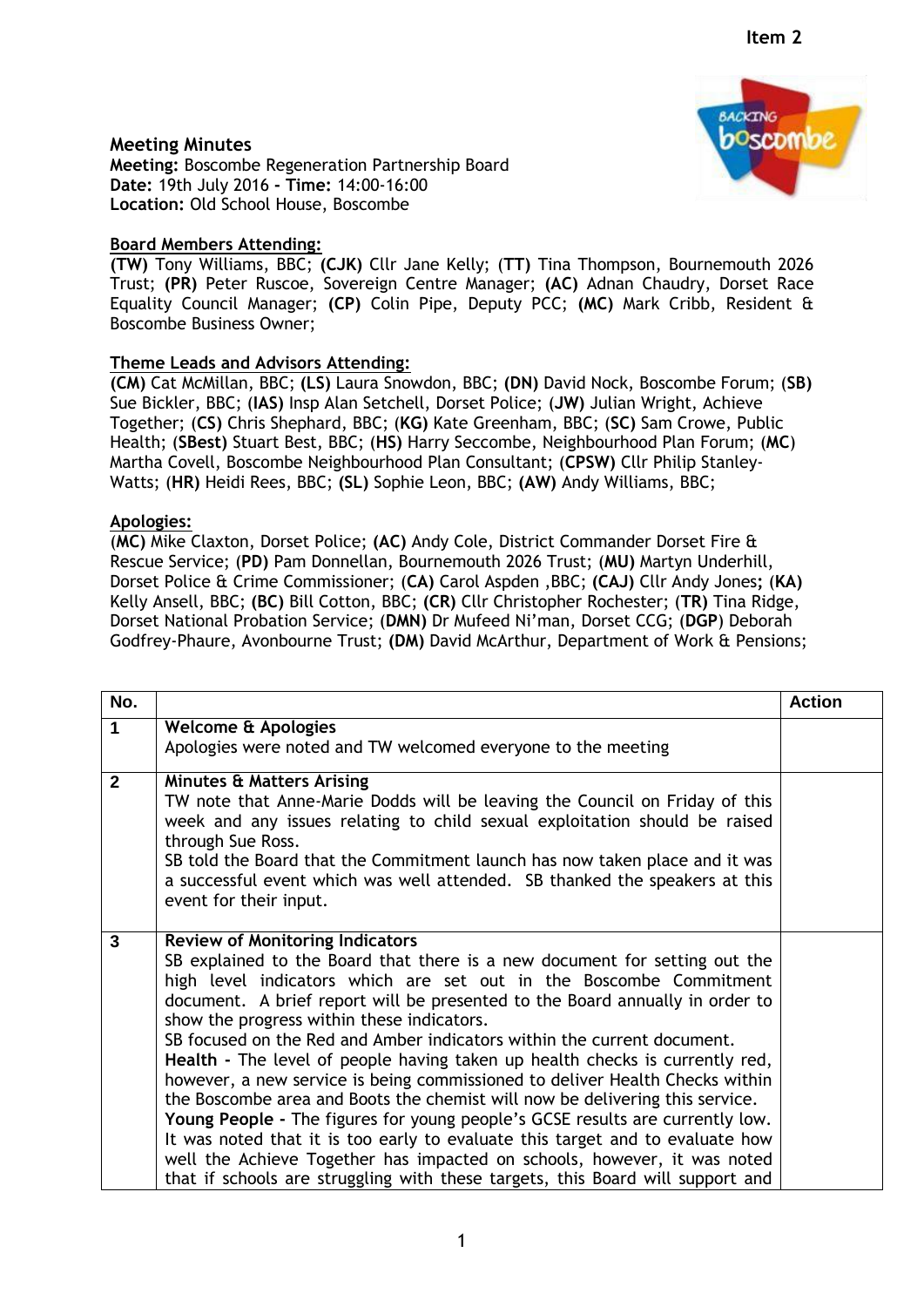# **Meeting Minutes**



**Meeting:** Boscombe Regeneration Partnership Board **Date:** 19th July 2016 **- Time:** 14:00-16:00 **Location:** Old School House, Boscombe

## **Board Members Attending:**

**(TW)** Tony Williams, BBC; **(CJK)** Cllr Jane Kelly; (**TT)** Tina Thompson, Bournemouth 2026 Trust; **(PR)** Peter Ruscoe, Sovereign Centre Manager; **(AC)** Adnan Chaudry, Dorset Race Equality Council Manager; **(CP)** Colin Pipe, Deputy PCC; **(MC)** Mark Cribb, Resident & Boscombe Business Owner;

## **Theme Leads and Advisors Attending:**

**(CM)** Cat McMillan, BBC; **(LS)** Laura Snowdon, BBC; **(DN)** David Nock, Boscombe Forum; (**SB)** Sue Bickler, BBC; (**IAS)** Insp Alan Setchell, Dorset Police; (**JW)** Julian Wright, Achieve Together; (**CS)** Chris Shephard, BBC; (**KG)** Kate Greenham, BBC; (**SC)** Sam Crowe, Public Health; (**SBest)** Stuart Best, BBC; (**HS)** Harry Seccombe, Neighbourhood Plan Forum; (**MC**) Martha Covell, Boscombe Neighbourhood Plan Consultant; (**CPSW)** Cllr Philip Stanley-Watts; (**HR)** Heidi Rees, BBC; **(SL)** Sophie Leon, BBC; **(AW)** Andy Williams, BBC;

#### **Apologies:**

(**MC)** Mike Claxton, Dorset Police; **(AC)** Andy Cole, District Commander Dorset Fire & Rescue Service; (**PD)** Pam Donnellan, Bournemouth 2026 Trust; (**MU)** Martyn Underhill, Dorset Police & Crime Commissioner; (**CA)** Carol Aspden ,BBC; **(CAJ)** Cllr Andy Jones**;** (**KA)** Kelly Ansell, BBC; **(BC)** Bill Cotton, BBC; **(CR)** Cllr Christopher Rochester; (**TR)** Tina Ridge, Dorset National Probation Service; (**DMN)** Dr Mufeed Ni'man, Dorset CCG; (**DGP**) Deborah Godfrey-Phaure, Avonbourne Trust; **(DM)** David McArthur, Department of Work & Pensions;

| No.            |                                                                                                                                                                                                                                                                                                                                                                                                                                                                                                                                                                                                                                                                                                                                                                                                                                                                                                                                                                                     | <b>Action</b> |
|----------------|-------------------------------------------------------------------------------------------------------------------------------------------------------------------------------------------------------------------------------------------------------------------------------------------------------------------------------------------------------------------------------------------------------------------------------------------------------------------------------------------------------------------------------------------------------------------------------------------------------------------------------------------------------------------------------------------------------------------------------------------------------------------------------------------------------------------------------------------------------------------------------------------------------------------------------------------------------------------------------------|---------------|
| $\mathbf 1$    | <b>Welcome &amp; Apologies</b>                                                                                                                                                                                                                                                                                                                                                                                                                                                                                                                                                                                                                                                                                                                                                                                                                                                                                                                                                      |               |
|                | Apologies were noted and TW welcomed everyone to the meeting                                                                                                                                                                                                                                                                                                                                                                                                                                                                                                                                                                                                                                                                                                                                                                                                                                                                                                                        |               |
| $\overline{2}$ | <b>Minutes &amp; Matters Arising</b><br>TW note that Anne-Marie Dodds will be leaving the Council on Friday of this<br>week and any issues relating to child sexual exploitation should be raised<br>through Sue Ross.<br>SB told the Board that the Commitment launch has now taken place and it was<br>a successful event which was well attended. SB thanked the speakers at this<br>event for their input.                                                                                                                                                                                                                                                                                                                                                                                                                                                                                                                                                                      |               |
| 3              | <b>Review of Monitoring Indicators</b><br>SB explained to the Board that there is a new document for setting out the<br>high level indicators which are set out in the Boscombe Commitment<br>document. A brief report will be presented to the Board annually in order to<br>show the progress within these indicators.<br>SB focused on the Red and Amber indicators within the current document.<br>Health - The level of people having taken up health checks is currently red,<br>however, a new service is being commissioned to deliver Health Checks within<br>the Boscombe area and Boots the chemist will now be delivering this service.<br>Young People - The figures for young people's GCSE results are currently low.<br>It was noted that it is too early to evaluate this target and to evaluate how<br>well the Achieve Together has impacted on schools, however, it was noted<br>that if schools are struggling with these targets, this Board will support and |               |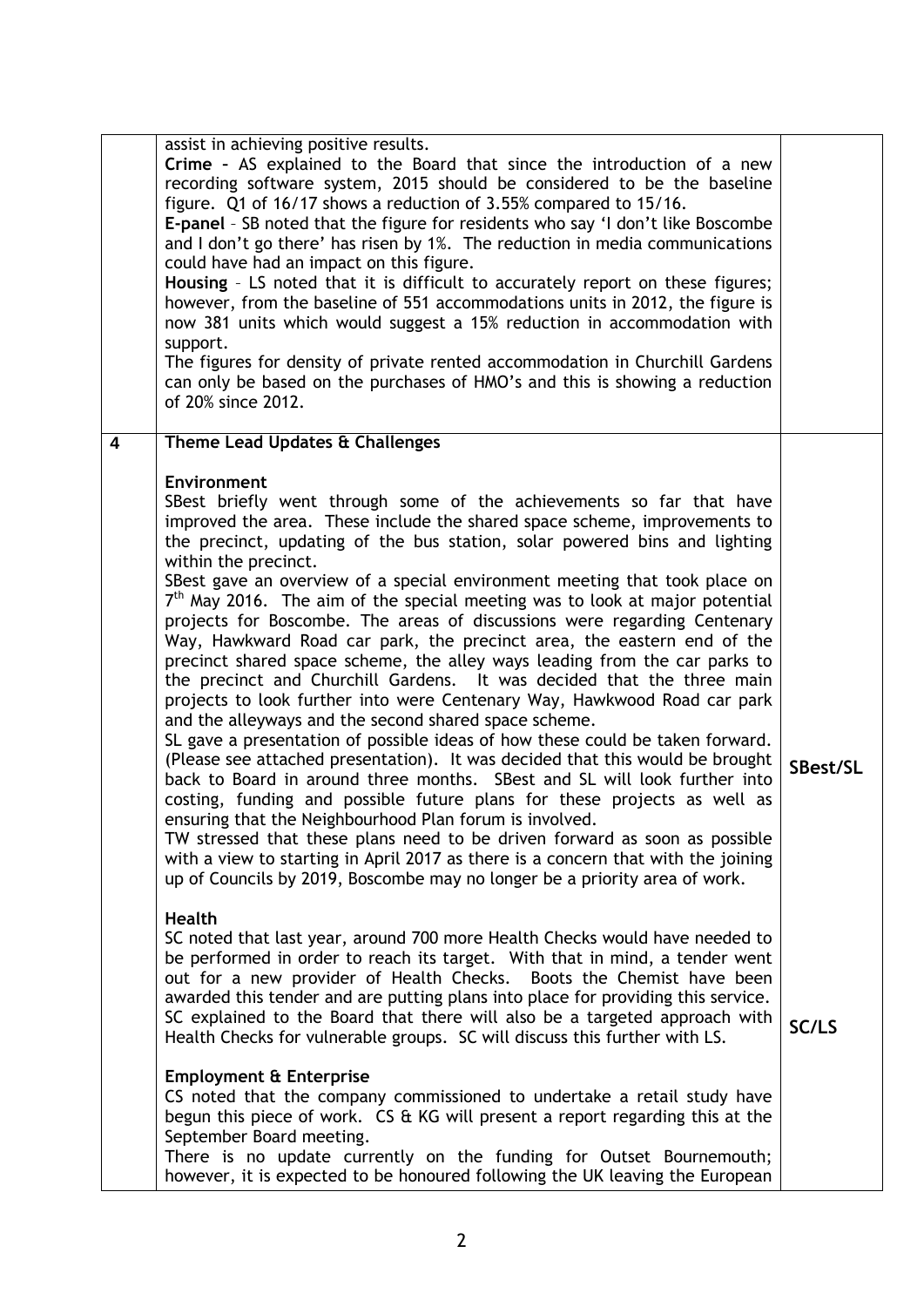|   | assist in achieving positive results.<br>Crime - AS explained to the Board that since the introduction of a new<br>recording software system, 2015 should be considered to be the baseline<br>figure. Q1 of 16/17 shows a reduction of 3.55% compared to 15/16.<br>E-panel - SB noted that the figure for residents who say 'I don't like Boscombe<br>and I don't go there' has risen by 1%. The reduction in media communications<br>could have had an impact on this figure.<br>Housing - LS noted that it is difficult to accurately report on these figures;<br>however, from the baseline of 551 accommodations units in 2012, the figure is<br>now 381 units which would suggest a 15% reduction in accommodation with<br>support.<br>The figures for density of private rented accommodation in Churchill Gardens<br>can only be based on the purchases of HMO's and this is showing a reduction<br>of 20% since 2012.                                                                                                                                                                                                                                                                                                                                                                                                                                                                                                                                                                                                   |          |
|---|---------------------------------------------------------------------------------------------------------------------------------------------------------------------------------------------------------------------------------------------------------------------------------------------------------------------------------------------------------------------------------------------------------------------------------------------------------------------------------------------------------------------------------------------------------------------------------------------------------------------------------------------------------------------------------------------------------------------------------------------------------------------------------------------------------------------------------------------------------------------------------------------------------------------------------------------------------------------------------------------------------------------------------------------------------------------------------------------------------------------------------------------------------------------------------------------------------------------------------------------------------------------------------------------------------------------------------------------------------------------------------------------------------------------------------------------------------------------------------------------------------------------------------|----------|
| 4 | Theme Lead Updates & Challenges                                                                                                                                                                                                                                                                                                                                                                                                                                                                                                                                                                                                                                                                                                                                                                                                                                                                                                                                                                                                                                                                                                                                                                                                                                                                                                                                                                                                                                                                                                 |          |
|   | Environment<br>SBest briefly went through some of the achievements so far that have<br>improved the area. These include the shared space scheme, improvements to<br>the precinct, updating of the bus station, solar powered bins and lighting<br>within the precinct.<br>SBest gave an overview of a special environment meeting that took place on<br>$7th$ May 2016. The aim of the special meeting was to look at major potential<br>projects for Boscombe. The areas of discussions were regarding Centenary<br>Way, Hawkward Road car park, the precinct area, the eastern end of the<br>precinct shared space scheme, the alley ways leading from the car parks to<br>the precinct and Churchill Gardens. It was decided that the three main<br>projects to look further into were Centenary Way, Hawkwood Road car park<br>and the alleyways and the second shared space scheme.<br>SL gave a presentation of possible ideas of how these could be taken forward.<br>(Please see attached presentation). It was decided that this would be brought<br>back to Board in around three months. SBest and SL will look further into<br>costing, funding and possible future plans for these projects as well as<br>ensuring that the Neighbourhood Plan forum is involved.<br>TW stressed that these plans need to be driven forward as soon as possible<br>with a view to starting in April 2017 as there is a concern that with the joining<br>up of Councils by 2019, Boscombe may no longer be a priority area of work. | SBest/SL |
|   | Health<br>SC noted that last year, around 700 more Health Checks would have needed to<br>be performed in order to reach its target. With that in mind, a tender went<br>out for a new provider of Health Checks. Boots the Chemist have been<br>awarded this tender and are putting plans into place for providing this service.<br>SC explained to the Board that there will also be a targeted approach with<br>Health Checks for vulnerable groups. SC will discuss this further with LS.                                                                                                                                                                                                                                                                                                                                                                                                                                                                                                                                                                                                                                                                                                                                                                                                                                                                                                                                                                                                                                    | SC/LS    |
|   | <b>Employment &amp; Enterprise</b><br>CS noted that the company commissioned to undertake a retail study have<br>begun this piece of work. CS & KG will present a report regarding this at the<br>September Board meeting.<br>There is no update currently on the funding for Outset Bournemouth;<br>however, it is expected to be honoured following the UK leaving the European                                                                                                                                                                                                                                                                                                                                                                                                                                                                                                                                                                                                                                                                                                                                                                                                                                                                                                                                                                                                                                                                                                                                               |          |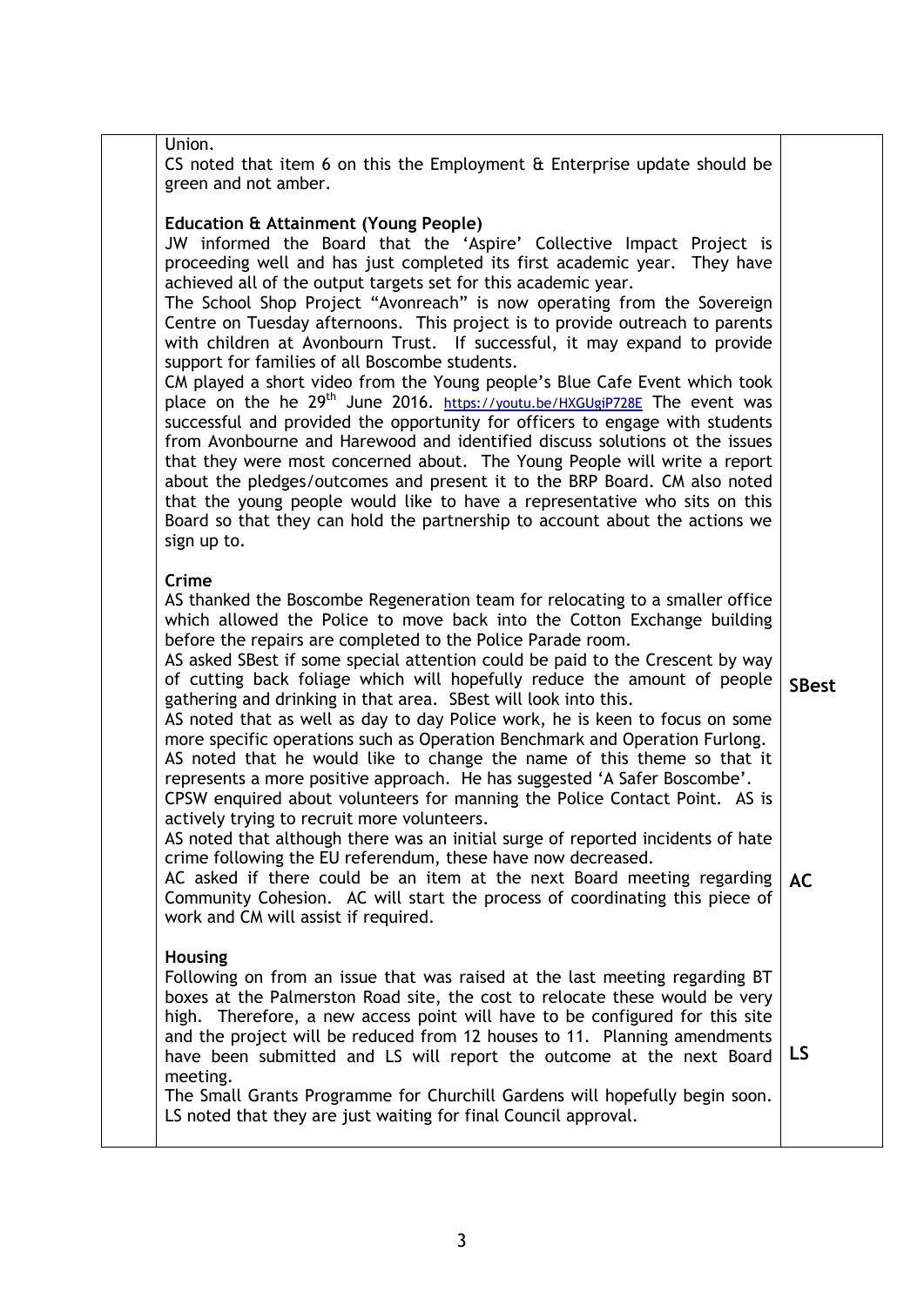Union.

CS noted that item 6 on this the Employment & Enterprise update should be green and not amber.

## **Education & Attainment (Young People)**

JW informed the Board that the 'Aspire' Collective Impact Project is proceeding well and has just completed its first academic year. They have achieved all of the output targets set for this academic year.

The School Shop Project "Avonreach" is now operating from the Sovereign Centre on Tuesday afternoons. This project is to provide outreach to parents with children at Avonbourn Trust. If successful, it may expand to provide support for families of all Boscombe students.

CM played a short video from the Young people's Blue Cafe Event which took place on the he  $29<sup>th</sup>$  June 2016. <https://youtu.be/HXGUgiP728E> The event was successful and provided the opportunity for officers to engage with students from Avonbourne and Harewood and identified discuss solutions ot the issues that they were most concerned about. The Young People will write a report about the pledges/outcomes and present it to the BRP Board. CM also noted that the young people would like to have a representative who sits on this Board so that they can hold the partnership to account about the actions we sign up to.

#### **Crime**

AS thanked the Boscombe Regeneration team for relocating to a smaller office which allowed the Police to move back into the Cotton Exchange building before the repairs are completed to the Police Parade room.

AS asked SBest if some special attention could be paid to the Crescent by way of cutting back foliage which will hopefully reduce the amount of people gathering and drinking in that area. SBest will look into this.

**SBest**

AS noted that as well as day to day Police work, he is keen to focus on some more specific operations such as Operation Benchmark and Operation Furlong. AS noted that he would like to change the name of this theme so that it represents a more positive approach. He has suggested 'A Safer Boscombe'.

CPSW enquired about volunteers for manning the Police Contact Point. AS is actively trying to recruit more volunteers.

AS noted that although there was an initial surge of reported incidents of hate crime following the EU referendum, these have now decreased.

AC asked if there could be an item at the next Board meeting regarding Community Cohesion. AC will start the process of coordinating this piece of work and CM will assist if required. **AC**

#### **Housing**

Following on from an issue that was raised at the last meeting regarding BT boxes at the Palmerston Road site, the cost to relocate these would be very high. Therefore, a new access point will have to be configured for this site and the project will be reduced from 12 houses to 11. Planning amendments have been submitted and LS will report the outcome at the next Board meeting. **LS**

The Small Grants Programme for Churchill Gardens will hopefully begin soon. LS noted that they are just waiting for final Council approval.